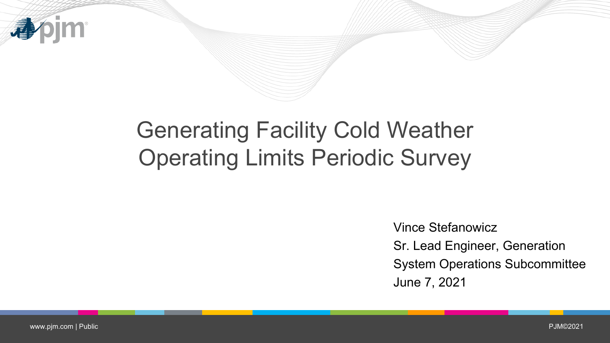

## Generating Facility Cold Weather Operating Limits Periodic Survey

Vince Stefanowicz Sr. Lead Engineer, Generation System Operations Subcommittee June 7, 2021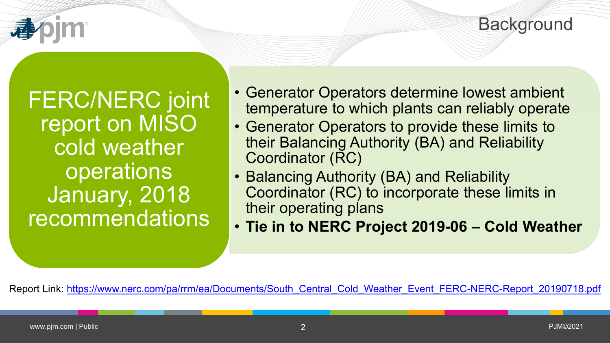

FERC/NERC joint report on MISO cold weather operations January, 2018 recommendations

- Generator Operators determine lowest ambient temperature to which plants can reliably operate
- Generator Operators to provide these limits to their Balancing Authority (BA) and Reliability Coordinator (RC)
- Balancing Authority (BA) and Reliability Coordinator (RC) to incorporate these limits in their operating plans
- **Tie in to NERC Project 2019-06 – Cold Weather**

Report Link: [https://www.nerc.com/pa/rrm/ea/Documents/South\\_Central\\_Cold\\_Weather\\_Event\\_FERC-NERC-Report\\_20190718.pdf](https://www.nerc.com/pa/rrm/ea/Documents/South_Central_Cold_Weather_Event_FERC-NERC-Report_20190718.pdf)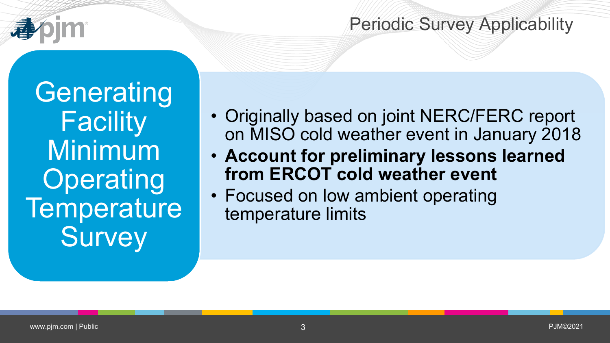

## Periodic Survey Applicability

**Generating Facility** Minimum **Operating Temperature Survey** 

- Originally based on joint NERC/FERC report on MISO cold weather event in January 2018
- **Account for preliminary lessons learned from ERCOT cold weather event**
- Focused on low ambient operating temperature limits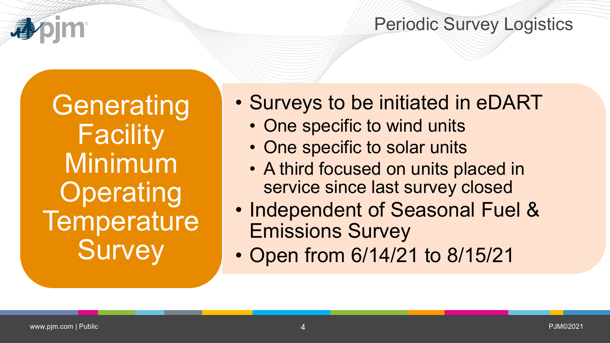

## Periodic Survey Logistics

**Generating Facility** Minimum **Operating Temperature Survey** 

- Surveys to be initiated in eDART
	- One specific to wind units
	- One specific to solar units
	- A third focused on units placed in service since last survey closed
- Independent of Seasonal Fuel & Emissions Survey
- Open from 6/14/21 to 8/15/21